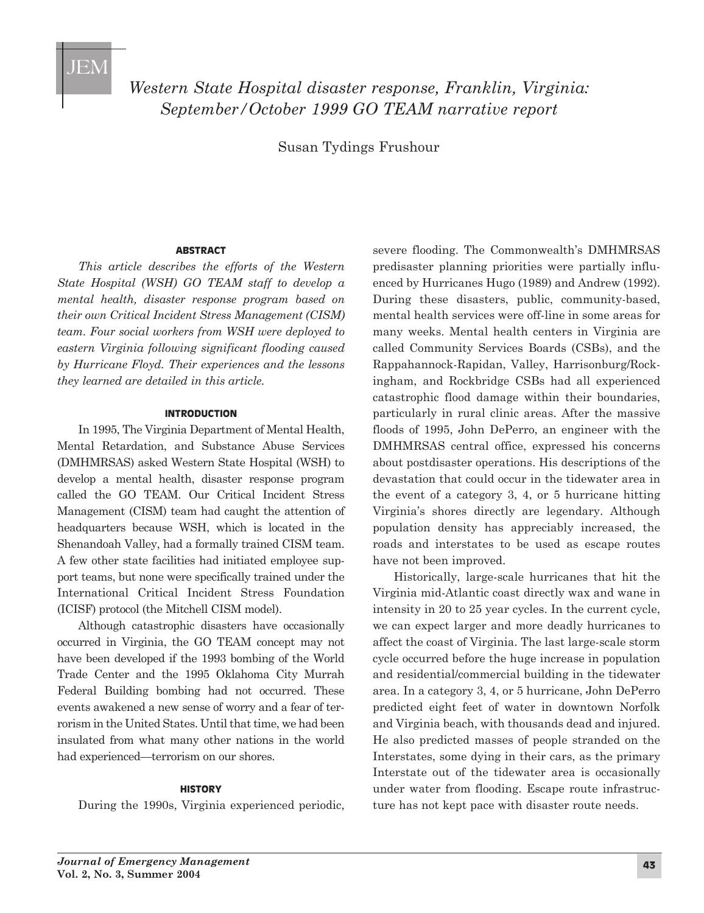

*Western State Hospital disaster response, Franklin, Virginia: September/October 1999 GO TEAM narrative report*

Susan Tydings Frushour

### **AbstrAct**

*This article describes the efforts of the Western State Hospital (WSH) GO TEAM staff to develop a mental health, disaster response program based on their own Critical Incident Stress Management (CISM) team. Four social workers from WSH were deployed to eastern Virginia following significant flooding caused by Hurricane Floyd. Their experiences and the lessons they learned are detailed in this article.*

#### **IntroductIon**

In 1995, The Virginia Department of Mental Health, Mental Retardation, and Substance Abuse Services (DMHMRSAS) asked Western State Hospital (WSH) to develop a mental health, disaster response program called the GO TEAM. Our Critical Incident Stress Management (CISM) team had caught the attention of headquarters because WSH, which is located in the Shenandoah Valley, had a formally trained CISM team. A few other state facilities had initiated employee support teams, but none were specifically trained under the International Critical Incident Stress Foundation (ICISF) protocol (the Mitchell CISM model).

Although catastrophic disasters have occasionally occurred in Virginia, the GO TEAM concept may not have been developed if the 1993 bombing of the World Trade Center and the 1995 Oklahoma City Murrah Federal Building bombing had not occurred. These events awakened a new sense of worry and a fear of terrorism in the United States. Until that time, we had been insulated from what many other nations in the world had experienced—terrorism on our shores.

### **HIstory**

During the 1990s, Virginia experienced periodic,

severe flooding. The Commonwealth's DMHMRSAS predisaster planning priorities were partially influenced by Hurricanes Hugo (1989) and Andrew (1992). During these disasters, public, community-based, mental health services were off-line in some areas for many weeks. Mental health centers in Virginia are called Community Services Boards (CSBs), and the Rappahannock-Rapidan, Valley, Harrisonburg/Rocking ham, and Rockbridge CSBs had all experienced catastrophic flood damage within their boundaries, particularly in rural clinic areas. After the massive floods of 1995, John DePerro, an engineer with the DMHMRSAS central office, expressed his concerns about postdisaster operations. His descriptions of the devastation that could occur in the tidewater area in the event of a category 3, 4, or 5 hurricane hitting Virginia's shores directly are legendary. Although population density has appreciably increased, the roads and interstates to be used as escape routes have not been improved.

Historically, large-scale hurricanes that hit the Virginia mid-Atlantic coast directly wax and wane in intensity in 20 to 25 year cycles. In the current cycle, we can expect larger and more deadly hurricanes to affect the coast of Virginia. The last large-scale storm cycle occurred before the huge increase in population and residential/commercial building in the tidewater area. In a category 3, 4, or 5 hurricane, John DePerro predicted eight feet of water in downtown Norfolk and Virginia beach, with thousands dead and injured. He also predicted masses of people stranded on the Interstates, some dying in their cars, as the primary Interstate out of the tidewater area is occasionally under water from flooding. Escape route infrastructure has not kept pace with disaster route needs.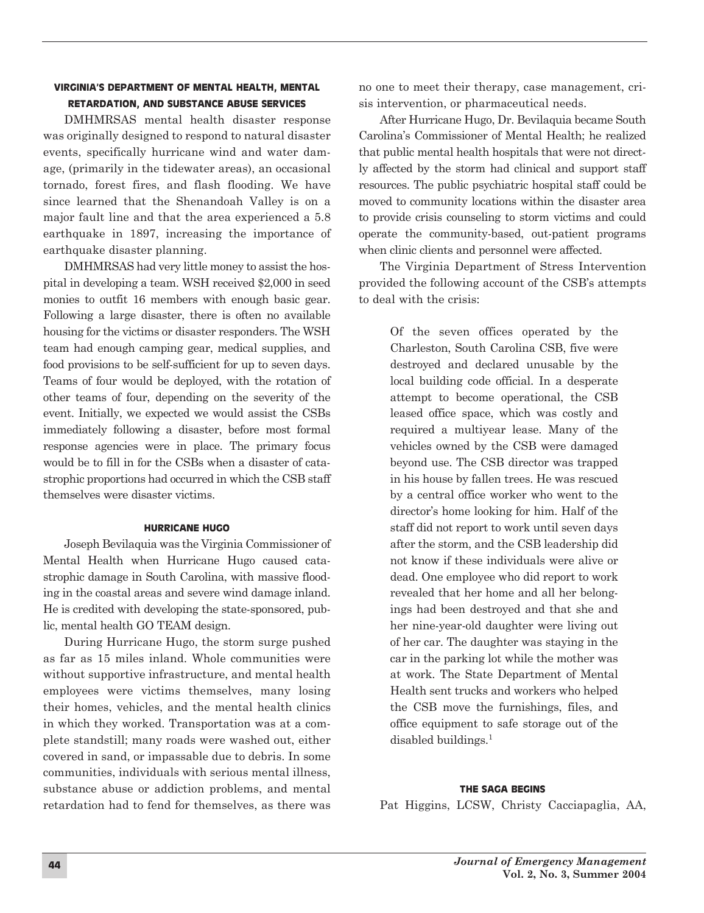# **VIrgInIA's depArtment of mentAl HeAltH, mentAl retArdAtIon, And substAnce Abuse serVIces**

DMHMRSAS mental health disaster response was originally designed to respond to natural disaster events, specifically hurricane wind and water damage, (primarily in the tidewater areas), an occasional tornado, forest fires, and flash flooding. We have since learned that the Shenandoah Valley is on a major fault line and that the area experienced a 5.8 earthquake in 1897, increasing the importance of earthquake disaster planning.

DMHMRSAS had very little money to assist the hospital in developing a team. WSH received \$2,000 in seed monies to outfit 16 members with enough basic gear. Following a large disaster, there is often no available housing for the victims or disaster responders. The WSH team had enough camping gear, medical supplies, and food provisions to be self-sufficient for up to seven days. Teams of four would be deployed, with the rotation of other teams of four, depending on the severity of the event. Initially, we expected we would assist the CSBs immediately following a disaster, before most formal response agencies were in place. The primary focus would be to fill in for the CSBs when a disaster of catastrophic proportions had occurred in which the CSB staff themselves were disaster victims.

## **HurrIcAne Hugo**

Joseph Bevilaquia was the Virginia Commissioner of Mental Health when Hurricane Hugo caused catastrophic damage in South Carolina, with massive flooding in the coastal areas and severe wind damage inland. He is credited with developing the state-sponsored, public, mental health GO TEAM design.

During Hurricane Hugo, the storm surge pushed as far as 15 miles inland. Whole communities were without supportive infrastructure, and mental health employees were victims themselves, many losing their homes, vehicles, and the mental health clinics in which they worked. Transportation was at a complete standstill; many roads were washed out, either covered in sand, or impassable due to debris. In some communities, individuals with serious mental illness, substance abuse or addiction problems, and mental retardation had to fend for themselves, as there was no one to meet their therapy, case management, crisis intervention, or pharmaceutical needs.

After Hurricane Hugo, Dr. Bevilaquia became South Carolina's Commissioner of Mental Health; he realized that public mental health hospitals that were not directly affected by the storm had clinical and support staff resources. The public psychiatric hospital staff could be moved to community locations within the disaster area to provide crisis counseling to storm victims and could operate the community-based, out-patient programs when clinic clients and personnel were affected.

The Virginia Department of Stress Intervention provided the following account of the CSB's attempts to deal with the crisis:

> Of the seven offices operated by the Charleston, South Carolina CSB, five were destroyed and declared unusable by the local building code official. In a desperate attempt to become operational, the CSB leased office space, which was costly and required a multiyear lease. Many of the vehicles owned by the CSB were damaged beyond use. The CSB director was trapped in his house by fallen trees. He was rescued by a central office worker who went to the director's home looking for him. Half of the staff did not report to work until seven days after the storm, and the CSB leadership did not know if these individuals were alive or dead. One employee who did report to work revealed that her home and all her belongings had been destroyed and that she and her nine-year-old daughter were living out of her car. The daughter was staying in the car in the parking lot while the mother was at work. The State Department of Mental Health sent trucks and workers who helped the CSB move the furnishings, files, and office equipment to safe storage out of the disabled buildings.1

# **tHe sAgA begIns**

Pat Higgins, LCSW, Christy Cacciapaglia, AA,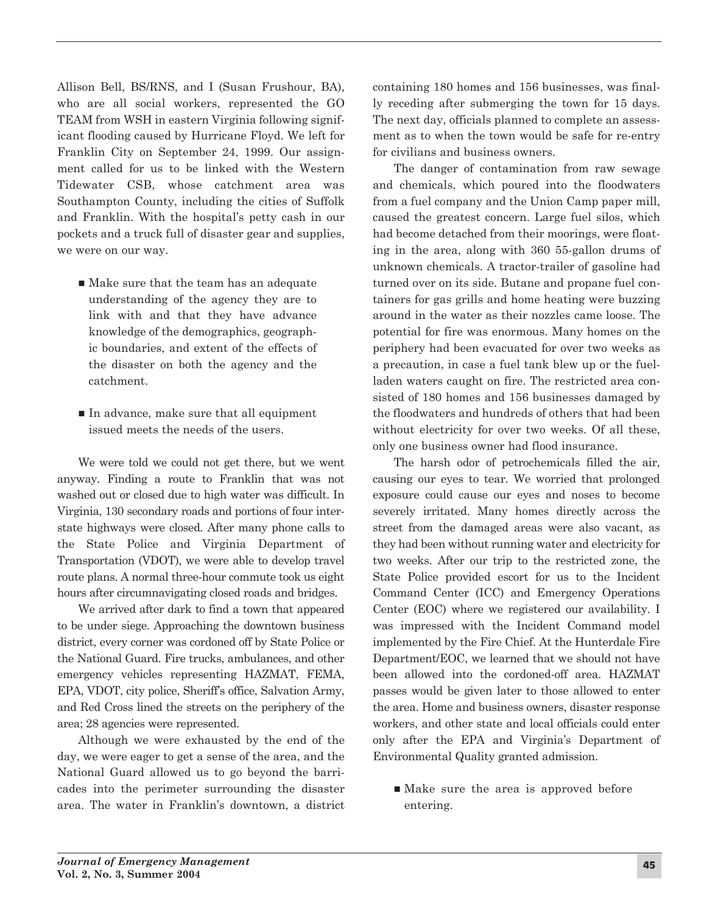Allison Bell, BS/RNS, and I (Susan Frushour, BA), who are all social workers, represented the GO TEAM from WSH in eastern Virginia following significant flooding caused by Hurricane Floyd. We left for Franklin City on September 24, 1999. Our assignment called for us to be linked with the Western Tidewater CSB, whose catchment area was Southampton County, including the cities of Suffolk and Franklin. With the hospital's petty cash in our pockets and a truck full of disaster gear and supplies, we were on our way.

- $\blacksquare$  Make sure that the team has an adequate understanding of the agency they are to link with and that they have advance knowledge of the demographics, geographic boundaries, and extent of the effects of the disaster on both the agency and the catchment.
- $\blacksquare$  In advance, make sure that all equipment issued meets the needs of the users.

We were told we could not get there, but we went anyway. Finding a route to Franklin that was not washed out or closed due to high water was difficult. In Virginia, 130 secondary roads and portions of four interstate highways were closed. After many phone calls to the State Police and Virginia Department of Transportation (VDOT), we were able to develop travel route plans. A normal three-hour commute took us eight hours after circumnavigating closed roads and bridges.

We arrived after dark to find a town that appeared to be under siege. Approaching the downtown business district, every corner was cordoned off by State Police or the National Guard. Fire trucks, ambulances, and other emergency vehicles representing HAZMAT, FEMA, EPA, VDOT, city police, Sheriff's office, Salvation Army, and Red Cross lined the streets on the periphery of the area; 28 agencies were represented.

Although we were exhausted by the end of the day, we were eager to get a sense of the area, and the National Guard allowed us to go beyond the barricades into the perimeter surrounding the disaster area. The water in Franklin's downtown, a district containing 180 homes and 156 businesses, was finally receding after submerging the town for 15 days. The next day, officials planned to complete an assessment as to when the town would be safe for re-entry for civilians and business owners.

The danger of contamination from raw sewage and chemicals, which poured into the floodwaters from a fuel company and the Union Camp paper mill, caused the greatest concern. Large fuel silos, which had become detached from their moorings, were floating in the area, along with 360 55-gallon drums of unknown chemicals. A tractor-trailer of gasoline had turned over on its side. Butane and propane fuel containers for gas grills and home heating were buzzing around in the water as their nozzles came loose. The potential for fire was enormous. Many homes on the periphery had been evacuated for over two weeks as a precaution, in case a fuel tank blew up or the fuelladen waters caught on fire. The restricted area consisted of 180 homes and 156 businesses damaged by the floodwaters and hundreds of others that had been without electricity for over two weeks. Of all these, only one business owner had flood insurance.

The harsh odor of petrochemicals filled the air, causing our eyes to tear. We worried that prolonged exposure could cause our eyes and noses to become severely irritated. Many homes directly across the street from the damaged areas were also vacant, as they had been without running water and electricity for two weeks. After our trip to the restricted zone, the State Police provided escort for us to the Incident Command Center (ICC) and Emergency Operations Center (EOC) where we registered our availability. I was impressed with the Incident Command model implemented by the Fire Chief. At the Hunterdale Fire Department/EOC, we learned that we should not have been allowed into the cordoned-off area. HAZMAT passes would be given later to those allowed to enter the area. Home and business owners, disaster response workers, and other state and local officials could enter only after the EPA and Virginia's Department of Environmental Quality granted admission.

n Make sure the area is approved before entering.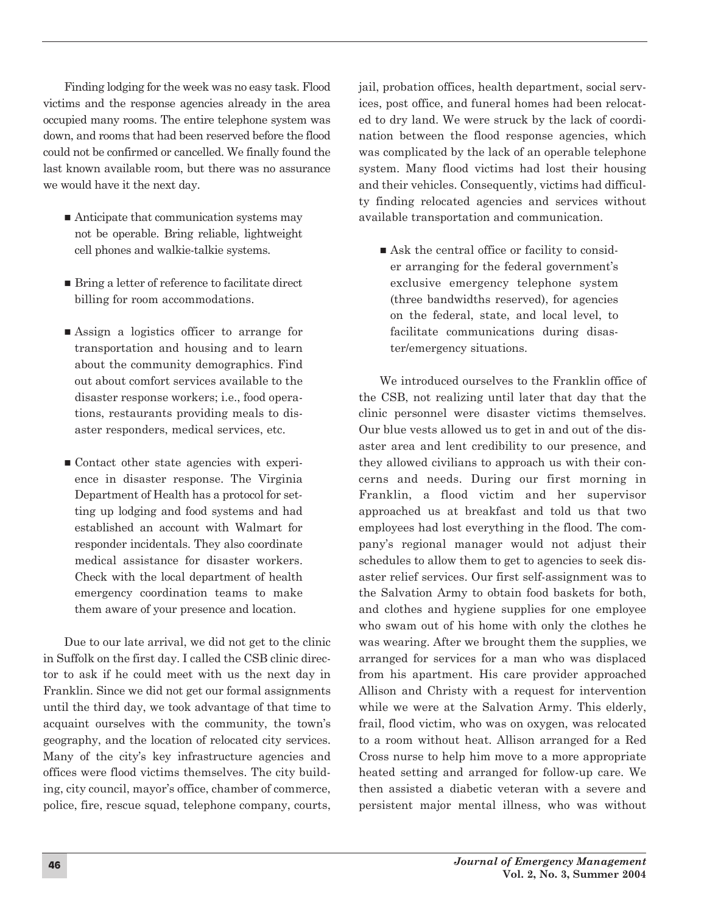Finding lodging for the week was no easy task. Flood victims and the response agencies already in the area occupied many rooms. The entire telephone system was down, and rooms that had been reserved before the flood could not be confirmed or cancelled. We finally found the last known available room, but there was no assurance we would have it the next day.

- $\blacksquare$  Anticipate that communication systems may not be operable. Bring reliable, lightweight cell phones and walkie-talkie systems.
- $\blacksquare$  Bring a letter of reference to facilitate direct billing for room accommodations.
- **n** Assign a logistics officer to arrange for transportation and housing and to learn about the community demographics. Find out about comfort services available to the disaster response workers; i.e., food operations, restaurants providing meals to disaster responders, medical services, etc.
- $\blacksquare$  Contact other state agencies with experience in disaster response. The Virginia Depart ment of Health has a protocol for setting up lodging and food systems and had established an account with Walmart for responder incidentals. They also coordinate medical assistance for disaster workers. Check with the local department of health emergency coordination teams to make them aware of your presence and location.

Due to our late arrival, we did not get to the clinic in Suffolk on the first day. I called the CSB clinic director to ask if he could meet with us the next day in Franklin. Since we did not get our formal assignments until the third day, we took advantage of that time to acquaint ourselves with the community, the town's geography, and the location of relocated city services. Many of the city's key infrastructure agencies and offices were flood victims themselves. The city building, city council, mayor's office, chamber of commerce, police, fire, rescue squad, telephone company, courts,

jail, probation offices, health department, social services, post office, and funeral homes had been relocated to dry land. We were struck by the lack of coordination between the flood response agencies, which was complicated by the lack of an operable telephone system. Many flood victims had lost their housing and their vehicles. Consequently, victims had difficulty finding relocated agencies and services without available transportation and communication.

 $\blacksquare$  Ask the central office or facility to consider arranging for the federal government's exclusive emergency telephone system (three bandwidths reserved), for agencies on the federal, state, and local level, to facilitate communications during disaster/emergency situations.

We introduced ourselves to the Franklin office of the CSB, not realizing until later that day that the clinic personnel were disaster victims themselves. Our blue vests allowed us to get in and out of the disaster area and lent credibility to our presence, and they allowed civilians to approach us with their concerns and needs. During our first morning in Franklin, a flood victim and her supervisor approached us at breakfast and told us that two employees had lost everything in the flood. The company's regional manager would not adjust their schedules to allow them to get to agencies to seek disaster relief services. Our first self-assignment was to the Salvation Army to obtain food baskets for both, and clothes and hygiene supplies for one employee who swam out of his home with only the clothes he was wearing. After we brought them the supplies, we arranged for services for a man who was displaced from his apartment. His care provider approached Allison and Christy with a request for intervention while we were at the Salvation Army. This elderly, frail, flood victim, who was on oxygen, was relocated to a room without heat. Allison arranged for a Red Cross nurse to help him move to a more appropriate heated setting and arranged for follow-up care. We then assisted a diabetic veteran with a severe and persistent major mental illness, who was without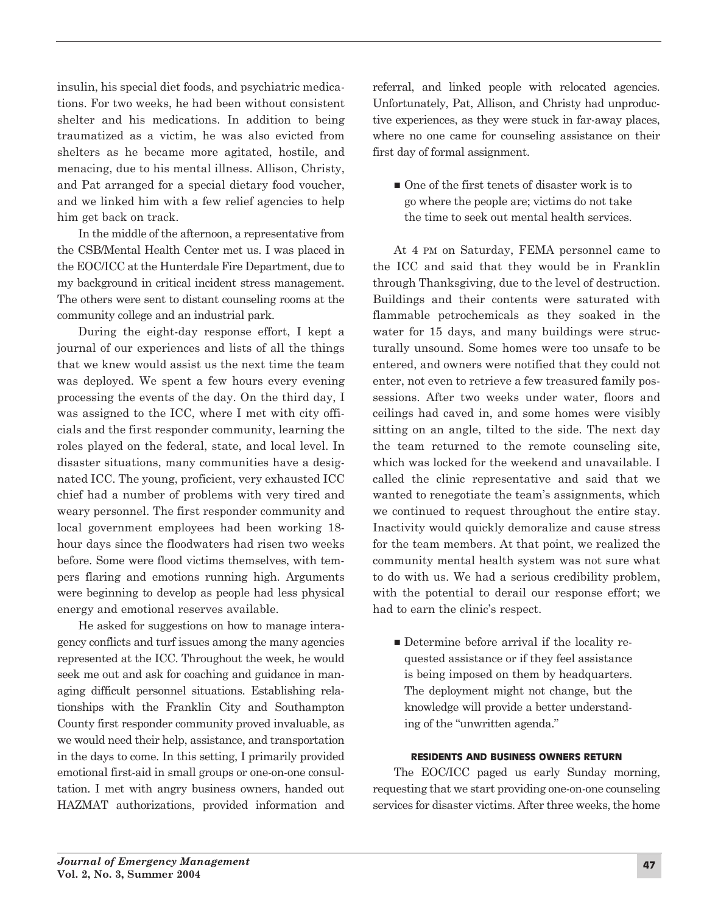insulin, his special diet foods, and psychiatric medications. For two weeks, he had been without consistent shelter and his medications. In addition to being traumatized as a victim, he was also evicted from shelters as he became more agitated, hostile, and menacing, due to his mental illness. Allison, Christy, and Pat arranged for a special dietary food voucher, and we linked him with a few relief agencies to help him get back on track.

In the middle of the afternoon, a representative from the CSB/Mental Health Center met us. I was placed in the EOC/ICC at the Hunterdale Fire Department, due to my background in critical incident stress management. The others were sent to distant counseling rooms at the community college and an industrial park.

During the eight-day response effort, I kept a journal of our experiences and lists of all the things that we knew would assist us the next time the team was deployed. We spent a few hours every evening processing the events of the day. On the third day, I was assigned to the ICC, where I met with city officials and the first responder community, learning the roles played on the federal, state, and local level. In disaster situations, many communities have a designated ICC. The young, proficient, very exhausted ICC chief had a number of problems with very tired and weary personnel. The first responder community and local government employees had been working 18 hour days since the floodwaters had risen two weeks before. Some were flood victims themselves, with tempers flaring and emotions running high. Arguments were beginning to develop as people had less physical energy and emotional reserves available.

He asked for suggestions on how to manage interagency conflicts and turf issues among the many agencies represented at the ICC. Throughout the week, he would seek me out and ask for coaching and guidance in managing difficult personnel situations. Establishing relationships with the Franklin City and Southampton County first responder community proved invaluable, as we would need their help, assistance, and transportation in the days to come. In this setting, I primarily provided emotional first-aid in small groups or one-on-one consultation. I met with angry business owners, handed out HAZMAT authorizations, provided information and

referral, and linked people with relocated agencies. Unfortunately, Pat, Allison, and Christy had unproductive experiences, as they were stuck in far-away places, where no one came for counseling assistance on their first day of formal assignment.

 $\blacksquare$  One of the first tenets of disaster work is to go where the people are; victims do not take the time to seek out mental health services.

At 4 PM on Saturday, FEMA personnel came to the ICC and said that they would be in Franklin through Thanksgiving, due to the level of destruction. Buildings and their contents were saturated with flammable petrochemicals as they soaked in the water for 15 days, and many buildings were structurally unsound. Some homes were too unsafe to be entered, and owners were notified that they could not enter, not even to retrieve a few treasured family possessions. After two weeks under water, floors and ceilings had caved in, and some homes were visibly sitting on an angle, tilted to the side. The next day the team returned to the remote counseling site, which was locked for the weekend and unavailable. I called the clinic representative and said that we wanted to renegotiate the team's assignments, which we continued to request throughout the entire stay. Inactivity would quickly demoralize and cause stress for the team members. At that point, we realized the community mental health system was not sure what to do with us. We had a serious credibility problem, with the potential to derail our response effort; we had to earn the clinic's respect.

■ Determine before arrival if the locality requested assistance or if they feel assistance is being imposed on them by headquarters. The deployment might not change, but the knowledge will provide a better understanding of the "unwritten agenda."

## **resIdents And busIness owners return**

The EOC/ICC paged us early Sunday morning, requesting that we start providing one-on-one counseling services for disaster victims. After three weeks, the home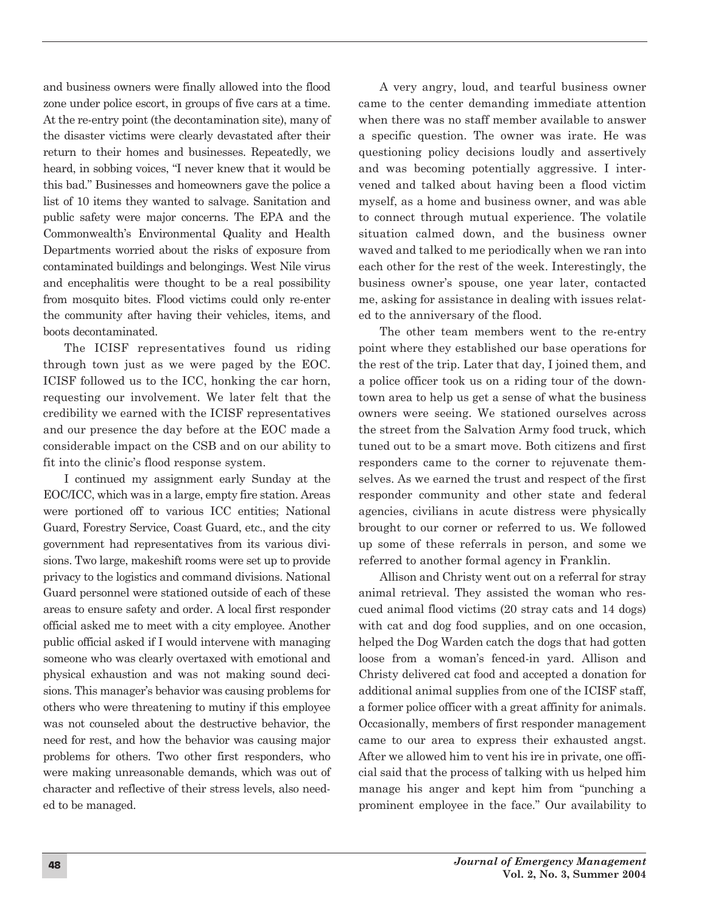and business owners were finally allowed into the flood zone under police escort, in groups of five cars at a time. At the re-entry point (the decontamination site), many of the disaster victims were clearly devastated after their return to their homes and businesses. Repeatedly, we heard, in sobbing voices, "I never knew that it would be this bad." Businesses and homeowners gave the police a list of 10 items they wanted to salvage. Sanitation and public safety were major concerns. The EPA and the Commonwealth's Environmental Quality and Health Departments worried about the risks of exposure from contaminated buildings and belongings. West Nile virus and encephalitis were thought to be a real possibility from mosquito bites. Flood victims could only re-enter the community after having their vehicles, items, and boots decontaminated.

The ICISF representatives found us riding through town just as we were paged by the EOC. ICISF followed us to the ICC, honking the car horn, requesting our involvement. We later felt that the credibility we earned with the ICISF representatives and our presence the day before at the EOC made a considerable impact on the CSB and on our ability to fit into the clinic's flood response system.

I continued my assignment early Sunday at the EOC/ICC, which was in a large, empty fire station. Areas were portioned off to various ICC entities; National Guard, Forestry Service, Coast Guard, etc., and the city government had representatives from its various divisions. Two large, makeshift rooms were set up to provide privacy to the logistics and command divisions. National Guard personnel were stationed outside of each of these areas to ensure safety and order. A local first responder official asked me to meet with a city employee. Another public official asked if I would intervene with managing someone who was clearly overtaxed with emotional and physical exhaustion and was not making sound decisions. This manager's behavior was causing problems for others who were threatening to mutiny if this employee was not counseled about the destructive behavior, the need for rest, and how the behavior was causing major problems for others. Two other first responders, who were making unreasonable demands, which was out of character and reflective of their stress levels, also needed to be managed.

A very angry, loud, and tearful business owner came to the center demanding immediate attention when there was no staff member available to answer a specific question. The owner was irate. He was questioning policy decisions loudly and assertively and was becoming potentially aggressive. I intervened and talked about having been a flood victim myself, as a home and business owner, and was able to connect through mutual experience. The volatile situation calmed down, and the business owner waved and talked to me periodically when we ran into each other for the rest of the week. Interestingly, the business owner's spouse, one year later, contacted me, asking for assistance in dealing with issues related to the anniversary of the flood.

The other team members went to the re-entry point where they established our base operations for the rest of the trip. Later that day, I joined them, and a police officer took us on a riding tour of the downtown area to help us get a sense of what the business owners were seeing. We stationed ourselves across the street from the Salvation Army food truck, which tuned out to be a smart move. Both citizens and first responders came to the corner to rejuvenate themselves. As we earned the trust and respect of the first responder community and other state and federal agencies, civilians in acute distress were physically brought to our corner or referred to us. We followed up some of these referrals in person, and some we referred to another formal agency in Franklin.

Allison and Christy went out on a referral for stray animal retrieval. They assisted the woman who rescued animal flood victims (20 stray cats and 14 dogs) with cat and dog food supplies, and on one occasion, helped the Dog Warden catch the dogs that had gotten loose from a woman's fenced-in yard. Allison and Christy delivered cat food and accepted a donation for additional animal supplies from one of the ICISF staff, a former police officer with a great affinity for animals. Occasionally, members of first responder management came to our area to express their exhausted angst. After we allowed him to vent his ire in private, one official said that the process of talking with us helped him manage his anger and kept him from "punching a prominent employee in the face." Our availability to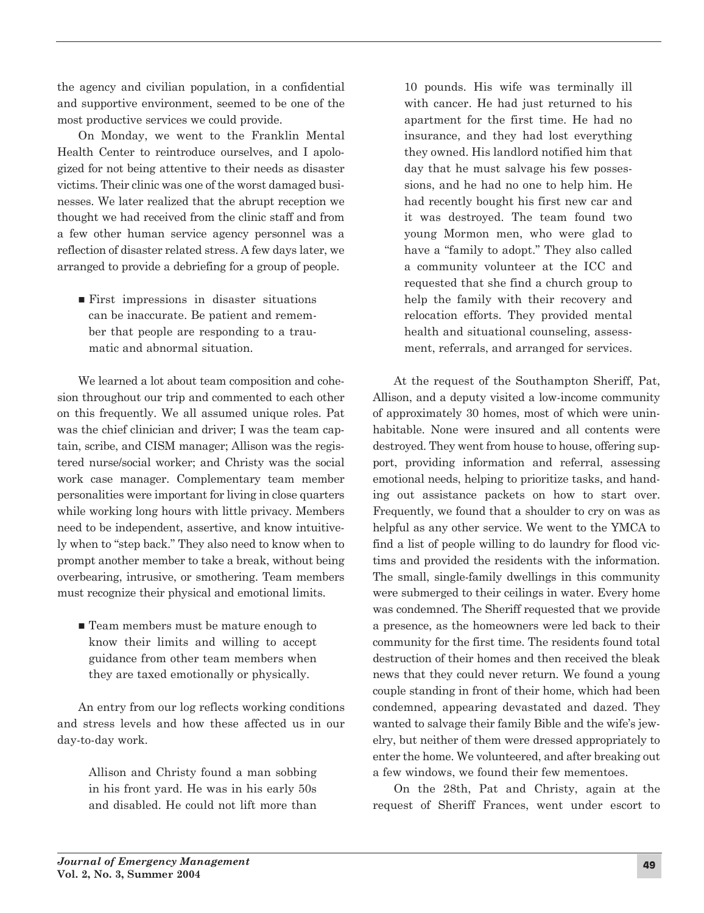the agency and civilian population, in a confidential and supportive environment, seemed to be one of the most productive services we could provide.

On Monday, we went to the Franklin Mental Health Center to reintroduce ourselves, and I apologized for not being attentive to their needs as disaster victims. Their clinic was one of the worst damaged businesses. We later realized that the abrupt reception we thought we had received from the clinic staff and from a few other human service agency personnel was a reflection of disaster related stress. A few days later, we arranged to provide a debriefing for a group of people.

n First impressions in disaster situations can be inaccurate. Be patient and remember that people are responding to a traumatic and abnormal situation.

We learned a lot about team composition and cohesion throughout our trip and commented to each other on this frequently. We all assumed unique roles. Pat was the chief clinician and driver; I was the team captain, scribe, and CISM manager; Allison was the registered nurse/social worker; and Christy was the social work case manager. Complementary team member personalities were important for living in close quarters while working long hours with little privacy. Members need to be independent, assertive, and know intuitively when to "step back." They also need to know when to prompt another member to take a break, without being overbearing, intrusive, or smothering. Team members must recognize their physical and emotional limits.

■ Team members must be mature enough to know their limits and willing to accept guidance from other team members when they are taxed emotionally or physically.

An entry from our log reflects working conditions and stress levels and how these affected us in our day-to-day work.

> Allison and Christy found a man sobbing in his front yard. He was in his early 50s and disabled. He could not lift more than

10 pounds. His wife was terminally ill with cancer. He had just returned to his apartment for the first time. He had no insurance, and they had lost everything they owned. His landlord notified him that day that he must salvage his few possessions, and he had no one to help him. He had recently bought his first new car and it was destroyed. The team found two young Mormon men, who were glad to have a "family to adopt." They also called a community volunteer at the ICC and requested that she find a church group to help the family with their recovery and relocation efforts. They provided mental health and situational counseling, assessment, referrals, and arranged for services.

At the request of the Southampton Sheriff, Pat, Allison, and a deputy visited a low-income community of approximately 30 homes, most of which were uninhabitable. None were insured and all contents were destroyed. They went from house to house, offering support, providing information and referral, assessing emotional needs, helping to prioritize tasks, and handing out assistance packets on how to start over. Frequently, we found that a shoulder to cry on was as helpful as any other service. We went to the YMCA to find a list of people willing to do laundry for flood victims and provided the residents with the information. The small, single-family dwellings in this community were submerged to their ceilings in water. Every home was condemned. The Sheriff requested that we provide a presence, as the homeowners were led back to their community for the first time. The residents found total destruction of their homes and then received the bleak news that they could never return. We found a young couple standing in front of their home, which had been condemned, appearing devastated and dazed. They wanted to salvage their family Bible and the wife's jewelry, but neither of them were dressed appropriately to enter the home. We volunteered, and after breaking out a few windows, we found their few mementoes.

On the 28th, Pat and Christy, again at the request of Sheriff Frances, went under escort to